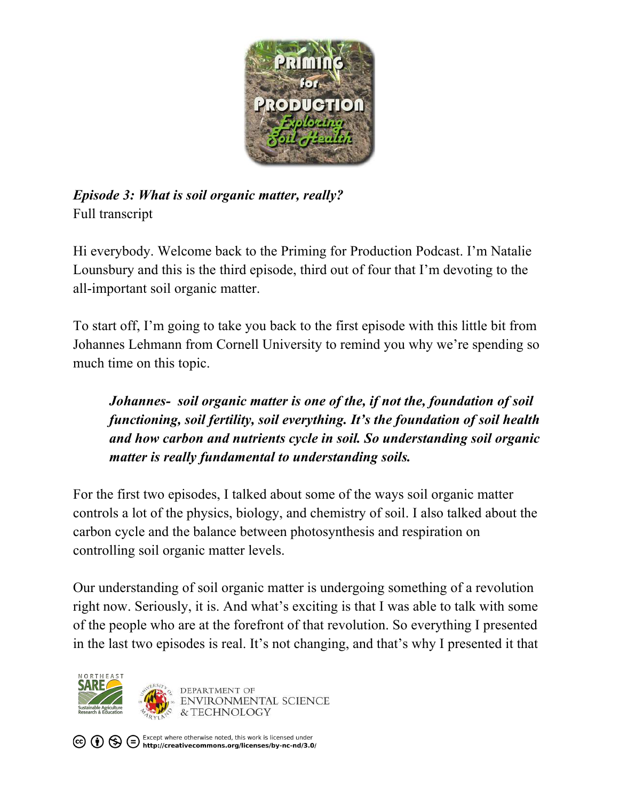

*Episode 3: What is soil organic matter, really?*  Full transcript

Hi everybody. Welcome back to the Priming for Production Podcast. I'm Natalie Lounsbury and this is the third episode, third out of four that I'm devoting to the all-important soil organic matter.

To start off, I'm going to take you back to the first episode with this little bit from Johannes Lehmann from Cornell University to remind you why we're spending so much time on this topic.

*Johannes- soil organic matter is one of the, if not the, foundation of soil functioning, soil fertility, soil everything. It's the foundation of soil health and how carbon and nutrients cycle in soil. So understanding soil organic matter is really fundamental to understanding soils.* 

For the first two episodes, I talked about some of the ways soil organic matter controls a lot of the physics, biology, and chemistry of soil. I also talked about the carbon cycle and the balance between photosynthesis and respiration on controlling soil organic matter levels.

Our understanding of soil organic matter is undergoing something of a revolution right now. Seriously, it is. And what's exciting is that I was able to talk with some of the people who are at the forefront of that revolution. So everything I presented in the last two episodes is real. It's not changing, and that's why I presented it that





**© ① ① ③** Except where otherwise noted, this work is licensed under http://creativecommons.org/licenses/by-nc-nd/3.0/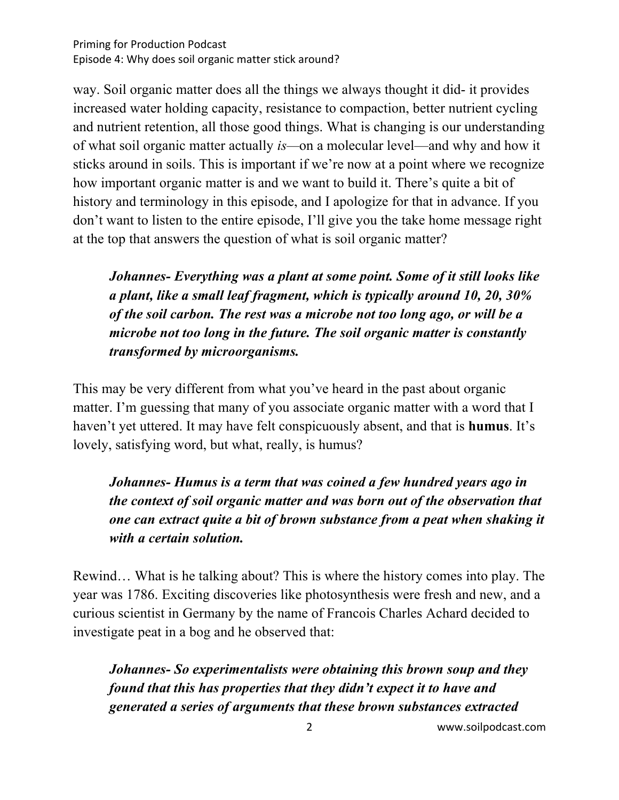way. Soil organic matter does all the things we always thought it did- it provides increased water holding capacity, resistance to compaction, better nutrient cycling and nutrient retention, all those good things. What is changing is our understanding of what soil organic matter actually *is—*on a molecular level—and why and how it sticks around in soils. This is important if we're now at a point where we recognize how important organic matter is and we want to build it. There's quite a bit of history and terminology in this episode, and I apologize for that in advance. If you don't want to listen to the entire episode, I'll give you the take home message right at the top that answers the question of what is soil organic matter?

*Johannes- Everything was a plant at some point. Some of it still looks like a plant, like a small leaf fragment, which is typically around 10, 20, 30% of the soil carbon. The rest was a microbe not too long ago, or will be a microbe not too long in the future. The soil organic matter is constantly transformed by microorganisms.*

This may be very different from what you've heard in the past about organic matter. I'm guessing that many of you associate organic matter with a word that I haven't yet uttered. It may have felt conspicuously absent, and that is **humus**. It's lovely, satisfying word, but what, really, is humus?

*Johannes- Humus is a term that was coined a few hundred years ago in the context of soil organic matter and was born out of the observation that one can extract quite a bit of brown substance from a peat when shaking it with a certain solution.* 

Rewind… What is he talking about? This is where the history comes into play. The year was 1786. Exciting discoveries like photosynthesis were fresh and new, and a curious scientist in Germany by the name of Francois Charles Achard decided to investigate peat in a bog and he observed that:

*Johannes- So experimentalists were obtaining this brown soup and they found that this has properties that they didn't expect it to have and generated a series of arguments that these brown substances extracted*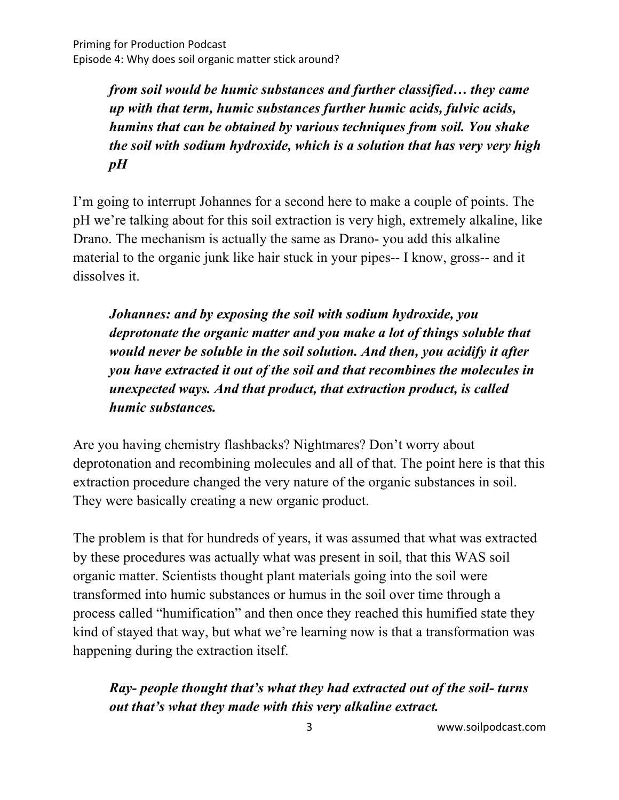*from soil would be humic substances and further classified… they came up with that term, humic substances further humic acids, fulvic acids, humins that can be obtained by various techniques from soil. You shake the soil with sodium hydroxide, which is a solution that has very very high pH*

I'm going to interrupt Johannes for a second here to make a couple of points. The pH we're talking about for this soil extraction is very high, extremely alkaline, like Drano. The mechanism is actually the same as Drano- you add this alkaline material to the organic junk like hair stuck in your pipes-- I know, gross-- and it dissolves it.

*Johannes: and by exposing the soil with sodium hydroxide, you deprotonate the organic matter and you make a lot of things soluble that would never be soluble in the soil solution. And then, you acidify it after you have extracted it out of the soil and that recombines the molecules in unexpected ways. And that product, that extraction product, is called humic substances.*

Are you having chemistry flashbacks? Nightmares? Don't worry about deprotonation and recombining molecules and all of that. The point here is that this extraction procedure changed the very nature of the organic substances in soil. They were basically creating a new organic product.

The problem is that for hundreds of years, it was assumed that what was extracted by these procedures was actually what was present in soil, that this WAS soil organic matter. Scientists thought plant materials going into the soil were transformed into humic substances or humus in the soil over time through a process called "humification" and then once they reached this humified state they kind of stayed that way, but what we're learning now is that a transformation was happening during the extraction itself.

*Ray- people thought that's what they had extracted out of the soil- turns out that's what they made with this very alkaline extract.*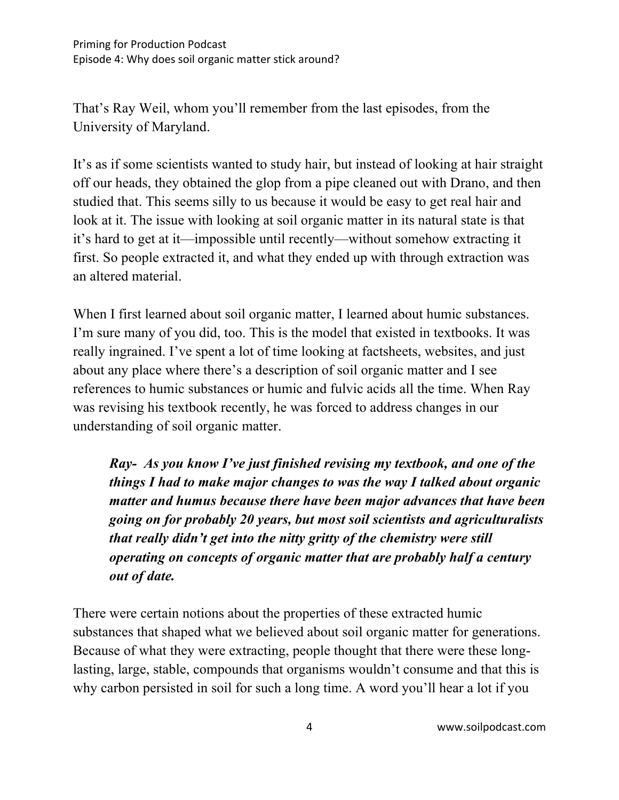That's Ray Weil, whom you'll remember from the last episodes, from the University of Maryland.

It's as if some scientists wanted to study hair, but instead of looking at hair straight off our heads, they obtained the glop from a pipe cleaned out with Drano, and then studied that. This seems silly to us because it would be easy to get real hair and look at it. The issue with looking at soil organic matter in its natural state is that it's hard to get at it—impossible until recently—without somehow extracting it first. So people extracted it, and what they ended up with through extraction was an altered material.

When I first learned about soil organic matter, I learned about humic substances. I'm sure many of you did, too. This is the model that existed in textbooks. It was really ingrained. I've spent a lot of time looking at factsheets, websites, and just about any place where there's a description of soil organic matter and I see references to humic substances or humic and fulvic acids all the time. When Ray was revising his textbook recently, he was forced to address changes in our understanding of soil organic matter.

*Ray- As you know I've just finished revising my textbook, and one of the things I had to make major changes to was the way I talked about organic matter and humus because there have been major advances that have been going on for probably 20 years, but most soil scientists and agriculturalists that really didn't get into the nitty gritty of the chemistry were still operating on concepts of organic matter that are probably half a century out of date.*

There were certain notions about the properties of these extracted humic substances that shaped what we believed about soil organic matter for generations. Because of what they were extracting, people thought that there were these longlasting, large, stable, compounds that organisms wouldn't consume and that this is why carbon persisted in soil for such a long time. A word you'll hear a lot if you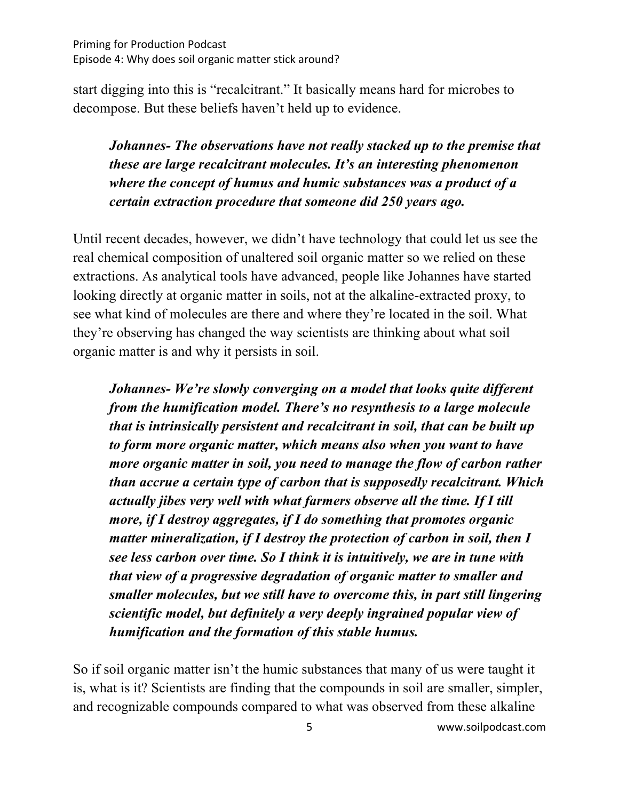start digging into this is "recalcitrant." It basically means hard for microbes to decompose. But these beliefs haven't held up to evidence.

*Johannes- The observations have not really stacked up to the premise that these are large recalcitrant molecules. It's an interesting phenomenon where the concept of humus and humic substances was a product of a certain extraction procedure that someone did 250 years ago.* 

Until recent decades, however, we didn't have technology that could let us see the real chemical composition of unaltered soil organic matter so we relied on these extractions. As analytical tools have advanced, people like Johannes have started looking directly at organic matter in soils, not at the alkaline-extracted proxy, to see what kind of molecules are there and where they're located in the soil. What they're observing has changed the way scientists are thinking about what soil organic matter is and why it persists in soil.

*Johannes- We're slowly converging on a model that looks quite different from the humification model. There's no resynthesis to a large molecule that is intrinsically persistent and recalcitrant in soil, that can be built up to form more organic matter, which means also when you want to have more organic matter in soil, you need to manage the flow of carbon rather than accrue a certain type of carbon that is supposedly recalcitrant. Which actually jibes very well with what farmers observe all the time. If I till more, if I destroy aggregates, if I do something that promotes organic matter mineralization, if I destroy the protection of carbon in soil, then I see less carbon over time. So I think it is intuitively, we are in tune with that view of a progressive degradation of organic matter to smaller and smaller molecules, but we still have to overcome this, in part still lingering scientific model, but definitely a very deeply ingrained popular view of humification and the formation of this stable humus.* 

So if soil organic matter isn't the humic substances that many of us were taught it is, what is it? Scientists are finding that the compounds in soil are smaller, simpler, and recognizable compounds compared to what was observed from these alkaline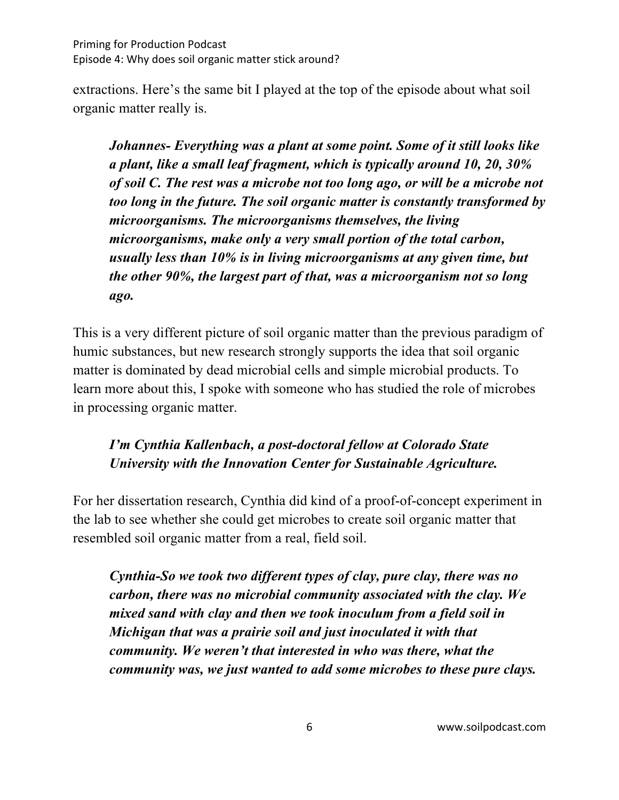extractions. Here's the same bit I played at the top of the episode about what soil organic matter really is.

*Johannes- Everything was a plant at some point. Some of it still looks like a plant, like a small leaf fragment, which is typically around 10, 20, 30% of soil C. The rest was a microbe not too long ago, or will be a microbe not too long in the future. The soil organic matter is constantly transformed by microorganisms. The microorganisms themselves, the living microorganisms, make only a very small portion of the total carbon, usually less than 10% is in living microorganisms at any given time, but the other 90%, the largest part of that, was a microorganism not so long ago.* 

This is a very different picture of soil organic matter than the previous paradigm of humic substances, but new research strongly supports the idea that soil organic matter is dominated by dead microbial cells and simple microbial products. To learn more about this, I spoke with someone who has studied the role of microbes in processing organic matter.

## *I'm Cynthia Kallenbach, a post-doctoral fellow at Colorado State University with the Innovation Center for Sustainable Agriculture.*

For her dissertation research, Cynthia did kind of a proof-of-concept experiment in the lab to see whether she could get microbes to create soil organic matter that resembled soil organic matter from a real, field soil.

*Cynthia-So we took two different types of clay, pure clay, there was no carbon, there was no microbial community associated with the clay. We mixed sand with clay and then we took inoculum from a field soil in Michigan that was a prairie soil and just inoculated it with that community. We weren't that interested in who was there, what the community was, we just wanted to add some microbes to these pure clays.*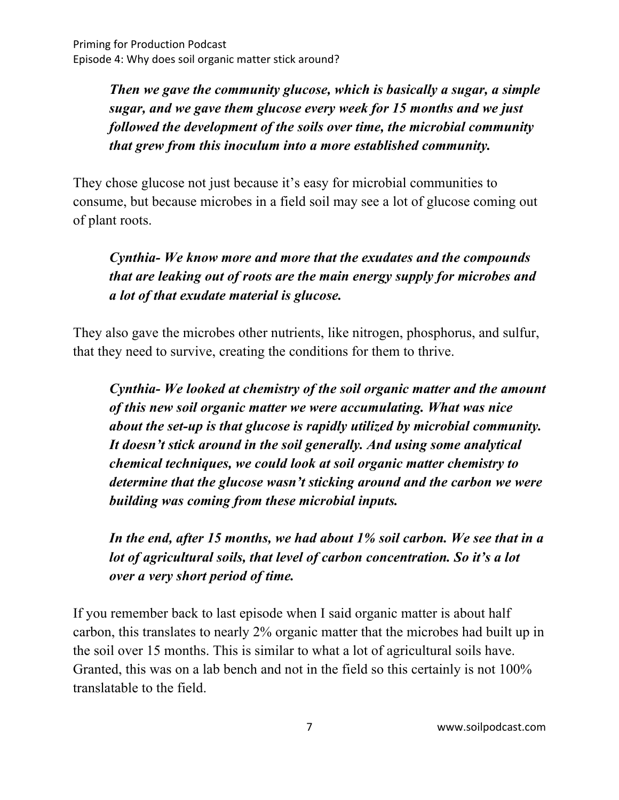*Then we gave the community glucose, which is basically a sugar, a simple sugar, and we gave them glucose every week for 15 months and we just followed the development of the soils over time, the microbial community that grew from this inoculum into a more established community.* 

They chose glucose not just because it's easy for microbial communities to consume, but because microbes in a field soil may see a lot of glucose coming out of plant roots.

## *Cynthia- We know more and more that the exudates and the compounds that are leaking out of roots are the main energy supply for microbes and a lot of that exudate material is glucose.*

They also gave the microbes other nutrients, like nitrogen, phosphorus, and sulfur, that they need to survive, creating the conditions for them to thrive.

*Cynthia- We looked at chemistry of the soil organic matter and the amount of this new soil organic matter we were accumulating. What was nice about the set-up is that glucose is rapidly utilized by microbial community. It doesn't stick around in the soil generally. And using some analytical chemical techniques, we could look at soil organic matter chemistry to determine that the glucose wasn't sticking around and the carbon we were building was coming from these microbial inputs.* 

*In the end, after 15 months, we had about 1% soil carbon. We see that in a lot of agricultural soils, that level of carbon concentration. So it's a lot over a very short period of time.* 

If you remember back to last episode when I said organic matter is about half carbon, this translates to nearly 2% organic matter that the microbes had built up in the soil over 15 months. This is similar to what a lot of agricultural soils have. Granted, this was on a lab bench and not in the field so this certainly is not 100% translatable to the field.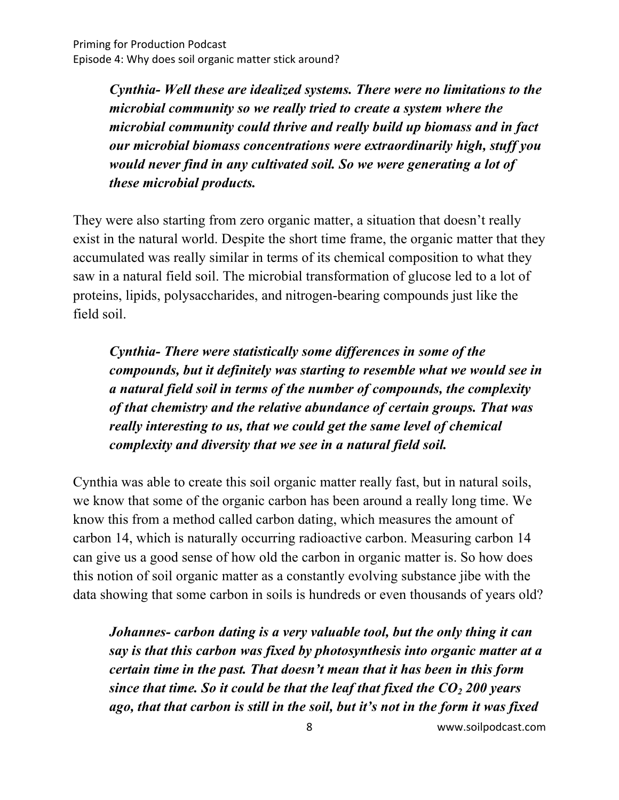*Cynthia- Well these are idealized systems. There were no limitations to the microbial community so we really tried to create a system where the microbial community could thrive and really build up biomass and in fact our microbial biomass concentrations were extraordinarily high, stuff you would never find in any cultivated soil. So we were generating a lot of these microbial products.*

They were also starting from zero organic matter, a situation that doesn't really exist in the natural world. Despite the short time frame, the organic matter that they accumulated was really similar in terms of its chemical composition to what they saw in a natural field soil. The microbial transformation of glucose led to a lot of proteins, lipids, polysaccharides, and nitrogen-bearing compounds just like the field soil.

*Cynthia- There were statistically some differences in some of the compounds, but it definitely was starting to resemble what we would see in a natural field soil in terms of the number of compounds, the complexity of that chemistry and the relative abundance of certain groups. That was really interesting to us, that we could get the same level of chemical complexity and diversity that we see in a natural field soil.*

Cynthia was able to create this soil organic matter really fast, but in natural soils, we know that some of the organic carbon has been around a really long time. We know this from a method called carbon dating, which measures the amount of carbon 14, which is naturally occurring radioactive carbon. Measuring carbon 14 can give us a good sense of how old the carbon in organic matter is. So how does this notion of soil organic matter as a constantly evolving substance jibe with the data showing that some carbon in soils is hundreds or even thousands of years old?

*Johannes- carbon dating is a very valuable tool, but the only thing it can say is that this carbon was fixed by photosynthesis into organic matter at a certain time in the past. That doesn't mean that it has been in this form since that time. So it could be that the leaf that fixed the*  $CO<sub>2</sub>$  *200 years ago, that that carbon is still in the soil, but it's not in the form it was fixed*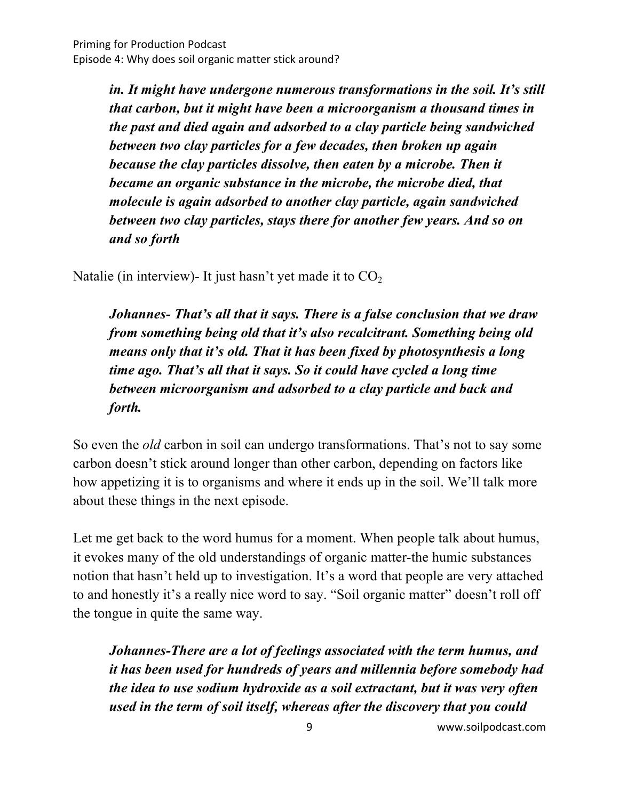*in. It might have undergone numerous transformations in the soil. It's still that carbon, but it might have been a microorganism a thousand times in the past and died again and adsorbed to a clay particle being sandwiched between two clay particles for a few decades, then broken up again because the clay particles dissolve, then eaten by a microbe. Then it became an organic substance in the microbe, the microbe died, that molecule is again adsorbed to another clay particle, again sandwiched between two clay particles, stays there for another few years. And so on and so forth*

Natalie (in interview)- It just hasn't yet made it to  $CO<sub>2</sub>$ 

*Johannes- That's all that it says. There is a false conclusion that we draw from something being old that it's also recalcitrant. Something being old means only that it's old. That it has been fixed by photosynthesis a long time ago. That's all that it says. So it could have cycled a long time between microorganism and adsorbed to a clay particle and back and forth.* 

So even the *old* carbon in soil can undergo transformations. That's not to say some carbon doesn't stick around longer than other carbon, depending on factors like how appetizing it is to organisms and where it ends up in the soil. We'll talk more about these things in the next episode.

Let me get back to the word humus for a moment. When people talk about humus, it evokes many of the old understandings of organic matter-the humic substances notion that hasn't held up to investigation. It's a word that people are very attached to and honestly it's a really nice word to say. "Soil organic matter" doesn't roll off the tongue in quite the same way.

*Johannes-There are a lot of feelings associated with the term humus, and it has been used for hundreds of years and millennia before somebody had the idea to use sodium hydroxide as a soil extractant, but it was very often used in the term of soil itself, whereas after the discovery that you could*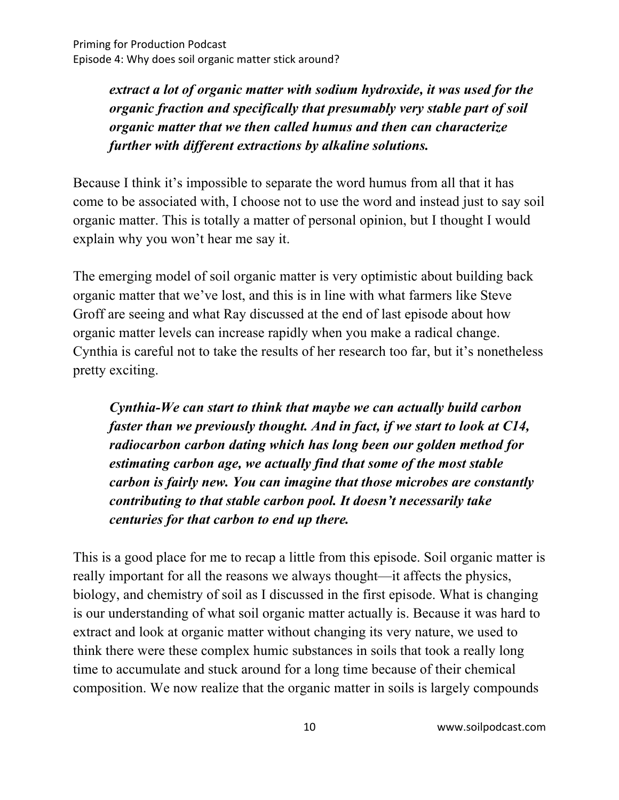*extract a lot of organic matter with sodium hydroxide, it was used for the organic fraction and specifically that presumably very stable part of soil organic matter that we then called humus and then can characterize further with different extractions by alkaline solutions.*

Because I think it's impossible to separate the word humus from all that it has come to be associated with, I choose not to use the word and instead just to say soil organic matter. This is totally a matter of personal opinion, but I thought I would explain why you won't hear me say it.

The emerging model of soil organic matter is very optimistic about building back organic matter that we've lost, and this is in line with what farmers like Steve Groff are seeing and what Ray discussed at the end of last episode about how organic matter levels can increase rapidly when you make a radical change. Cynthia is careful not to take the results of her research too far, but it's nonetheless pretty exciting.

*Cynthia-We can start to think that maybe we can actually build carbon faster than we previously thought. And in fact, if we start to look at C14, radiocarbon carbon dating which has long been our golden method for estimating carbon age, we actually find that some of the most stable carbon is fairly new. You can imagine that those microbes are constantly contributing to that stable carbon pool. It doesn't necessarily take centuries for that carbon to end up there.*

This is a good place for me to recap a little from this episode. Soil organic matter is really important for all the reasons we always thought—it affects the physics, biology, and chemistry of soil as I discussed in the first episode. What is changing is our understanding of what soil organic matter actually is. Because it was hard to extract and look at organic matter without changing its very nature, we used to think there were these complex humic substances in soils that took a really long time to accumulate and stuck around for a long time because of their chemical composition. We now realize that the organic matter in soils is largely compounds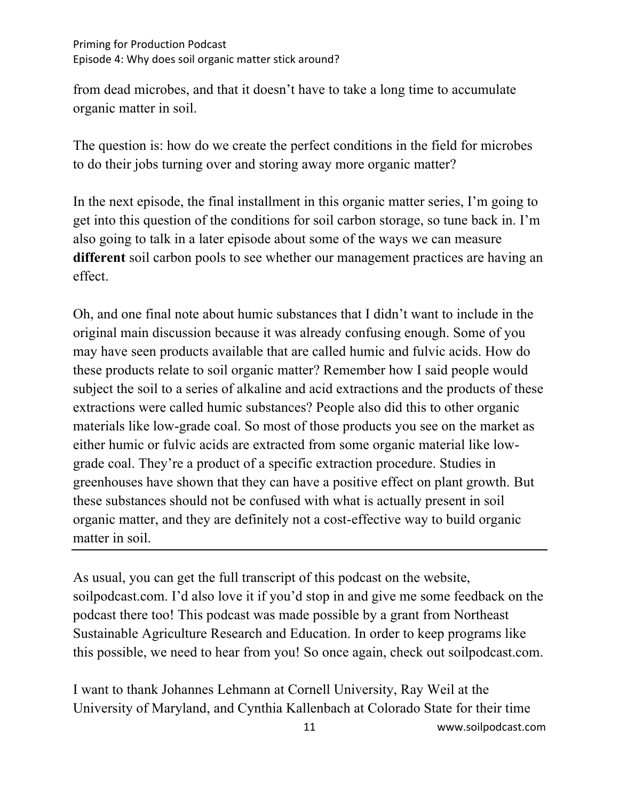from dead microbes, and that it doesn't have to take a long time to accumulate organic matter in soil.

The question is: how do we create the perfect conditions in the field for microbes to do their jobs turning over and storing away more organic matter?

In the next episode, the final installment in this organic matter series, I'm going to get into this question of the conditions for soil carbon storage, so tune back in. I'm also going to talk in a later episode about some of the ways we can measure **different** soil carbon pools to see whether our management practices are having an effect.

Oh, and one final note about humic substances that I didn't want to include in the original main discussion because it was already confusing enough. Some of you may have seen products available that are called humic and fulvic acids. How do these products relate to soil organic matter? Remember how I said people would subject the soil to a series of alkaline and acid extractions and the products of these extractions were called humic substances? People also did this to other organic materials like low-grade coal. So most of those products you see on the market as either humic or fulvic acids are extracted from some organic material like lowgrade coal. They're a product of a specific extraction procedure. Studies in greenhouses have shown that they can have a positive effect on plant growth. But these substances should not be confused with what is actually present in soil organic matter, and they are definitely not a cost-effective way to build organic matter in soil.

As usual, you can get the full transcript of this podcast on the website, soilpodcast.com. I'd also love it if you'd stop in and give me some feedback on the podcast there too! This podcast was made possible by a grant from Northeast Sustainable Agriculture Research and Education. In order to keep programs like this possible, we need to hear from you! So once again, check out soilpodcast.com.

I want to thank Johannes Lehmann at Cornell University, Ray Weil at the University of Maryland, and Cynthia Kallenbach at Colorado State for their time